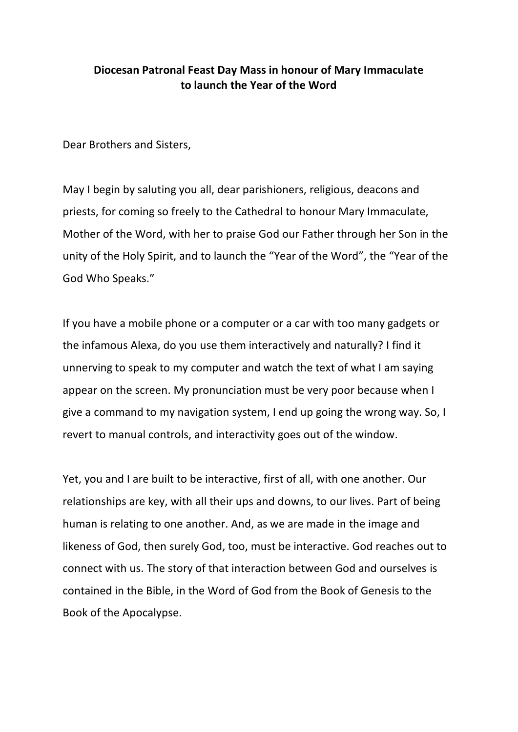## **Diocesan Patronal Feast Day Mass in honour of Mary Immaculate to launch the Year of the Word**

Dear Brothers and Sisters,

May I begin by saluting you all, dear parishioners, religious, deacons and priests, for coming so freely to the Cathedral to honour Mary Immaculate, Mother of the Word, with her to praise God our Father through her Son in the unity of the Holy Spirit, and to launch the "Year of the Word", the "Year of the God Who Speaks."

If you have a mobile phone or a computer or a car with too many gadgets or the infamous Alexa, do you use them interactively and naturally? I find it unnerving to speak to my computer and watch the text of what I am saying appear on the screen. My pronunciation must be very poor because when I give a command to my navigation system, I end up going the wrong way. So, I revert to manual controls, and interactivity goes out of the window.

Yet, you and I are built to be interactive, first of all, with one another. Our relationships are key, with all their ups and downs, to our lives. Part of being human is relating to one another. And, as we are made in the image and likeness of God, then surely God, too, must be interactive. God reaches out to connect with us. The story of that interaction between God and ourselves is contained in the Bible, in the Word of God from the Book of Genesis to the Book of the Apocalypse.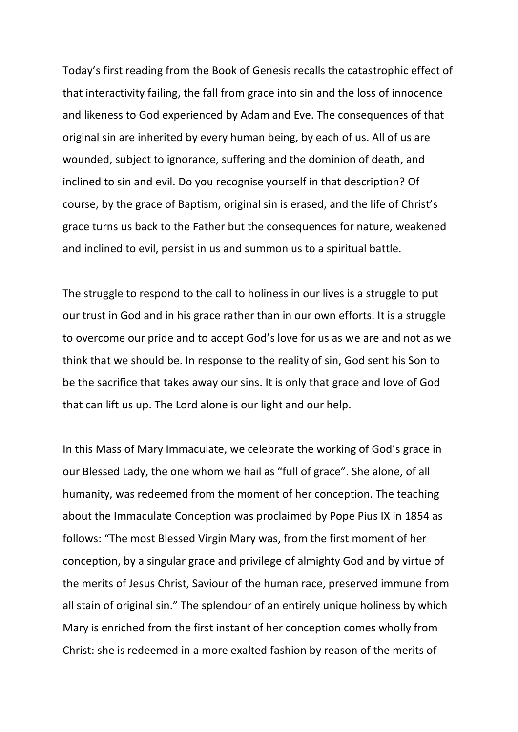Today's first reading from the Book of Genesis recalls the catastrophic effect of that interactivity failing, the fall from grace into sin and the loss of innocence and likeness to God experienced by Adam and Eve. The consequences of that original sin are inherited by every human being, by each of us. All of us are wounded, subject to ignorance, suffering and the dominion of death, and inclined to sin and evil. Do you recognise yourself in that description? Of course, by the grace of Baptism, original sin is erased, and the life of Christ's grace turns us back to the Father but the consequences for nature, weakened and inclined to evil, persist in us and summon us to a spiritual battle.

The struggle to respond to the call to holiness in our lives is a struggle to put our trust in God and in his grace rather than in our own efforts. It is a struggle to overcome our pride and to accept God's love for us as we are and not as we think that we should be. In response to the reality of sin, God sent his Son to be the sacrifice that takes away our sins. It is only that grace and love of God that can lift us up. The Lord alone is our light and our help.

In this Mass of Mary Immaculate, we celebrate the working of God's grace in our Blessed Lady, the one whom we hail as "full of grace". She alone, of all humanity, was redeemed from the moment of her conception. The teaching about the Immaculate Conception was proclaimed by Pope Pius IX in 1854 as follows: "The most Blessed Virgin Mary was, from the first moment of her conception, by a singular grace and privilege of almighty God and by virtue of the merits of Jesus Christ, Saviour of the human race, preserved immune from all stain of original sin." The splendour of an entirely unique holiness by which Mary is enriched from the first instant of her conception comes wholly from Christ: she is redeemed in a more exalted fashion by reason of the merits of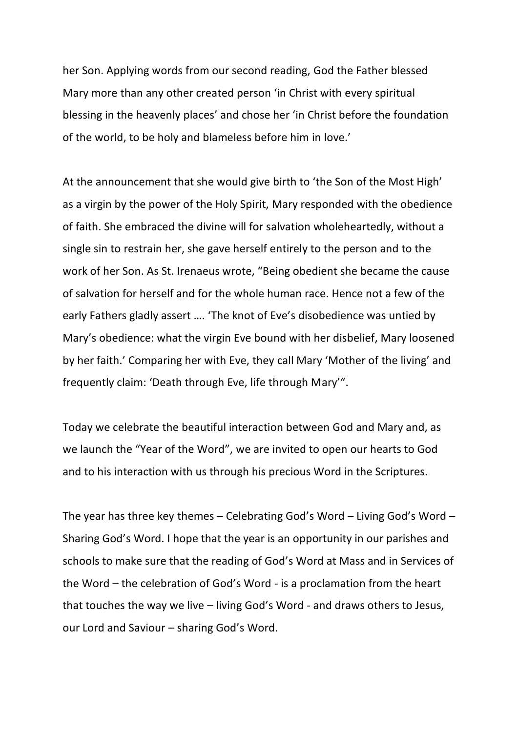her Son. Applying words from our second reading, God the Father blessed Mary more than any other created person 'in Christ with every spiritual blessing in the heavenly places' and chose her 'in Christ before the foundation of the world, to be holy and blameless before him in love.'

At the announcement that she would give birth to 'the Son of the Most High' as a virgin by the power of the Holy Spirit, Mary responded with the obedience of faith. She embraced the divine will for salvation wholeheartedly, without a single sin to restrain her, she gave herself entirely to the person and to the work of her Son. As St. Irenaeus wrote, "Being obedient she became the cause of salvation for herself and for the whole human race. Hence not a few of the early Fathers gladly assert …. 'The knot of Eve's disobedience was untied by Mary's obedience: what the virgin Eve bound with her disbelief, Mary loosened by her faith.' Comparing her with Eve, they call Mary 'Mother of the living' and frequently claim: 'Death through Eve, life through Mary'".

Today we celebrate the beautiful interaction between God and Mary and, as we launch the "Year of the Word", we are invited to open our hearts to God and to his interaction with us through his precious Word in the Scriptures.

The year has three key themes – Celebrating God's Word – Living God's Word – Sharing God's Word. I hope that the year is an opportunity in our parishes and schools to make sure that the reading of God's Word at Mass and in Services of the Word – the celebration of God's Word - is a proclamation from the heart that touches the way we live – living God's Word - and draws others to Jesus, our Lord and Saviour – sharing God's Word.